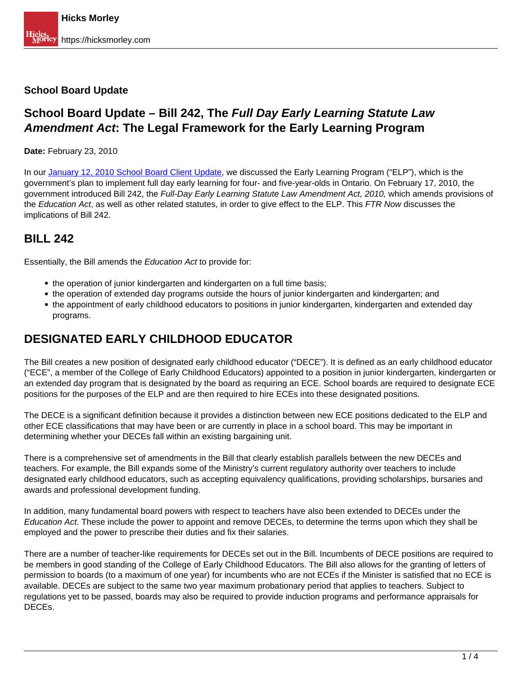#### **School Board Update**

## **School Board Update – Bill 242, The Full Day Early Learning Statute Law Amendment Act: The Legal Framework for the Early Learning Program**

#### **Date:** February 23, 2010

In our [January 12, 2010 School Board Client Update](https://hicksmorley.com/2010/01/12/school-board-update-ontarios-2010-early-learning-program-bracing-for-the-fallout/), we discussed the Early Learning Program ("ELP"), which is the government's plan to implement full day early learning for four- and five-year-olds in Ontario. On February 17, 2010, the government introduced Bill 242, the Full-Day Early Learning Statute Law Amendment Act, 2010, which amends provisions of the Education Act, as well as other related statutes, in order to give effect to the ELP. This FTR Now discusses the implications of Bill 242.

#### **BILL 242**

Essentially, the Bill amends the Education Act to provide for:

- the operation of junior kindergarten and kindergarten on a full time basis;
- the operation of extended day programs outside the hours of junior kindergarten and kindergarten; and
- the appointment of early childhood educators to positions in junior kindergarten, kindergarten and extended day programs.

## **DESIGNATED EARLY CHILDHOOD EDUCATOR**

The Bill creates a new position of designated early childhood educator ("DECE"). It is defined as an early childhood educator ("ECE", a member of the College of Early Childhood Educators) appointed to a position in junior kindergarten, kindergarten or an extended day program that is designated by the board as requiring an ECE. School boards are required to designate ECE positions for the purposes of the ELP and are then required to hire ECEs into these designated positions.

The DECE is a significant definition because it provides a distinction between new ECE positions dedicated to the ELP and other ECE classifications that may have been or are currently in place in a school board. This may be important in determining whether your DECEs fall within an existing bargaining unit.

There is a comprehensive set of amendments in the Bill that clearly establish parallels between the new DECEs and teachers. For example, the Bill expands some of the Ministry's current regulatory authority over teachers to include designated early childhood educators, such as accepting equivalency qualifications, providing scholarships, bursaries and awards and professional development funding.

In addition, many fundamental board powers with respect to teachers have also been extended to DECEs under the Education Act. These include the power to appoint and remove DECEs, to determine the terms upon which they shall be employed and the power to prescribe their duties and fix their salaries.

There are a number of teacher-like requirements for DECEs set out in the Bill. Incumbents of DECE positions are required to be members in good standing of the College of Early Childhood Educators. The Bill also allows for the granting of letters of permission to boards (to a maximum of one year) for incumbents who are not ECEs if the Minister is satisfied that no ECE is available. DECEs are subject to the same two year maximum probationary period that applies to teachers. Subject to regulations yet to be passed, boards may also be required to provide induction programs and performance appraisals for DECEs.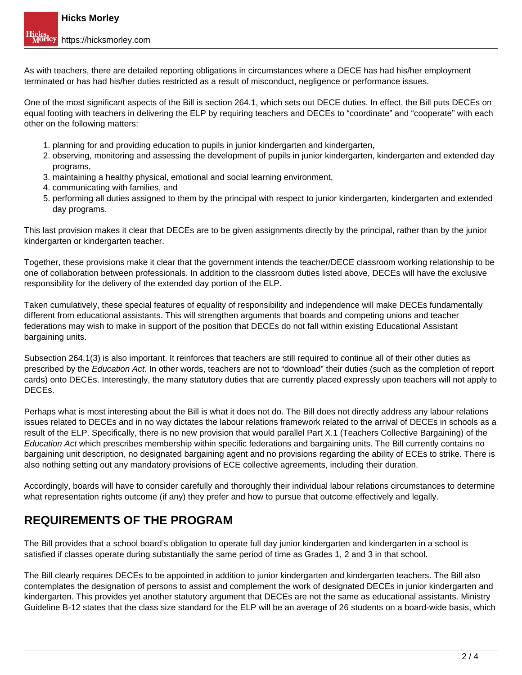As with teachers, there are detailed reporting obligations in circumstances where a DECE has had his/her employment terminated or has had his/her duties restricted as a result of misconduct, negligence or performance issues.

One of the most significant aspects of the Bill is section 264.1, which sets out DECE duties. In effect, the Bill puts DECEs on equal footing with teachers in delivering the ELP by requiring teachers and DECEs to "coordinate" and "cooperate" with each other on the following matters:

- 1. planning for and providing education to pupils in junior kindergarten and kindergarten,
- 2. observing, monitoring and assessing the development of pupils in junior kindergarten, kindergarten and extended day programs,
- 3. maintaining a healthy physical, emotional and social learning environment,
- 4. communicating with families, and
- 5. performing all duties assigned to them by the principal with respect to junior kindergarten, kindergarten and extended day programs.

This last provision makes it clear that DECEs are to be given assignments directly by the principal, rather than by the junior kindergarten or kindergarten teacher.

Together, these provisions make it clear that the government intends the teacher/DECE classroom working relationship to be one of collaboration between professionals. In addition to the classroom duties listed above, DECEs will have the exclusive responsibility for the delivery of the extended day portion of the ELP.

Taken cumulatively, these special features of equality of responsibility and independence will make DECEs fundamentally different from educational assistants. This will strengthen arguments that boards and competing unions and teacher federations may wish to make in support of the position that DECEs do not fall within existing Educational Assistant bargaining units.

Subsection 264.1(3) is also important. It reinforces that teachers are still required to continue all of their other duties as prescribed by the Education Act. In other words, teachers are not to "download" their duties (such as the completion of report cards) onto DECEs. Interestingly, the many statutory duties that are currently placed expressly upon teachers will not apply to DECEs.

Perhaps what is most interesting about the Bill is what it does not do. The Bill does not directly address any labour relations issues related to DECEs and in no way dictates the labour relations framework related to the arrival of DECEs in schools as a result of the ELP. Specifically, there is no new provision that would parallel Part X.1 (Teachers Collective Bargaining) of the Education Act which prescribes membership within specific federations and bargaining units. The Bill currently contains no bargaining unit description, no designated bargaining agent and no provisions regarding the ability of ECEs to strike. There is also nothing setting out any mandatory provisions of ECE collective agreements, including their duration.

Accordingly, boards will have to consider carefully and thoroughly their individual labour relations circumstances to determine what representation rights outcome (if any) they prefer and how to pursue that outcome effectively and legally.

#### **REQUIREMENTS OF THE PROGRAM**

The Bill provides that a school board's obligation to operate full day junior kindergarten and kindergarten in a school is satisfied if classes operate during substantially the same period of time as Grades 1, 2 and 3 in that school.

The Bill clearly requires DECEs to be appointed in addition to junior kindergarten and kindergarten teachers. The Bill also contemplates the designation of persons to assist and complement the work of designated DECEs in junior kindergarten and kindergarten. This provides yet another statutory argument that DECEs are not the same as educational assistants. Ministry Guideline B-12 states that the class size standard for the ELP will be an average of 26 students on a board-wide basis, which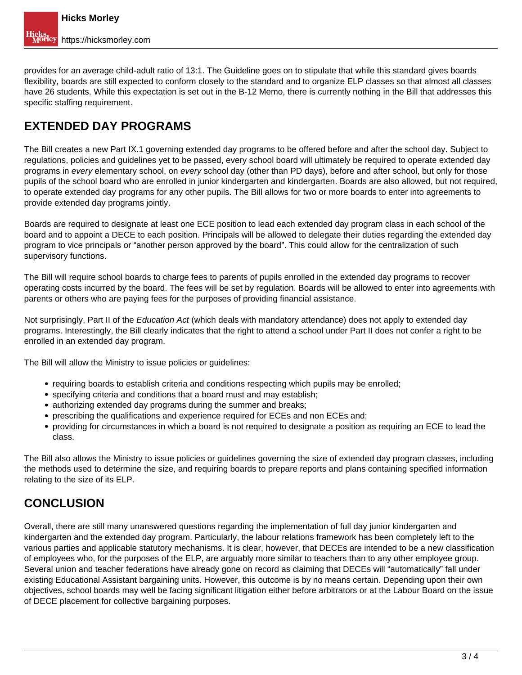provides for an average child-adult ratio of 13:1. The Guideline goes on to stipulate that while this standard gives boards flexibility, boards are still expected to conform closely to the standard and to organize ELP classes so that almost all classes have 26 students. While this expectation is set out in the B-12 Memo, there is currently nothing in the Bill that addresses this specific staffing requirement.

# **EXTENDED DAY PROGRAMS**

The Bill creates a new Part IX.1 governing extended day programs to be offered before and after the school day. Subject to regulations, policies and guidelines yet to be passed, every school board will ultimately be required to operate extended day programs in every elementary school, on every school day (other than PD days), before and after school, but only for those pupils of the school board who are enrolled in junior kindergarten and kindergarten. Boards are also allowed, but not required, to operate extended day programs for any other pupils. The Bill allows for two or more boards to enter into agreements to provide extended day programs jointly.

Boards are required to designate at least one ECE position to lead each extended day program class in each school of the board and to appoint a DECE to each position. Principals will be allowed to delegate their duties regarding the extended day program to vice principals or "another person approved by the board". This could allow for the centralization of such supervisory functions.

The Bill will require school boards to charge fees to parents of pupils enrolled in the extended day programs to recover operating costs incurred by the board. The fees will be set by regulation. Boards will be allowed to enter into agreements with parents or others who are paying fees for the purposes of providing financial assistance.

Not surprisingly, Part II of the *Education Act* (which deals with mandatory attendance) does not apply to extended day programs. Interestingly, the Bill clearly indicates that the right to attend a school under Part II does not confer a right to be enrolled in an extended day program.

The Bill will allow the Ministry to issue policies or guidelines:

- requiring boards to establish criteria and conditions respecting which pupils may be enrolled;
- specifying criteria and conditions that a board must and may establish;
- authorizing extended day programs during the summer and breaks;
- prescribing the qualifications and experience required for ECEs and non ECEs and;
- providing for circumstances in which a board is not required to designate a position as requiring an ECE to lead the class.

The Bill also allows the Ministry to issue policies or guidelines governing the size of extended day program classes, including the methods used to determine the size, and requiring boards to prepare reports and plans containing specified information relating to the size of its ELP.

## **CONCLUSION**

Overall, there are still many unanswered questions regarding the implementation of full day junior kindergarten and kindergarten and the extended day program. Particularly, the labour relations framework has been completely left to the various parties and applicable statutory mechanisms. It is clear, however, that DECEs are intended to be a new classification of employees who, for the purposes of the ELP, are arguably more similar to teachers than to any other employee group. Several union and teacher federations have already gone on record as claiming that DECEs will "automatically" fall under existing Educational Assistant bargaining units. However, this outcome is by no means certain. Depending upon their own objectives, school boards may well be facing significant litigation either before arbitrators or at the Labour Board on the issue of DECE placement for collective bargaining purposes.